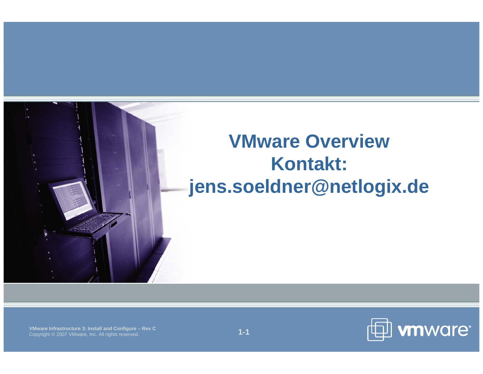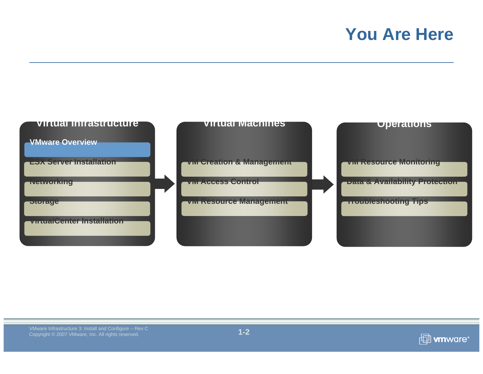#### **You Are Here**



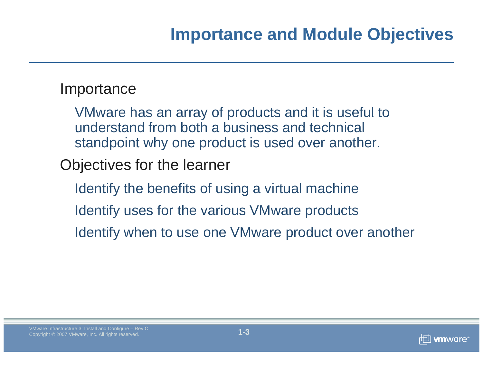## **Importance and Module Objectives**

#### **Importance**

VMware has an array of products and it is useful to understand from both a business and technical standpoint why one product is used over another.

Objectives for the learner

Identify the benefits of using a virtual machine Identify uses for the various VMware products Identify when to use one VMware product over another

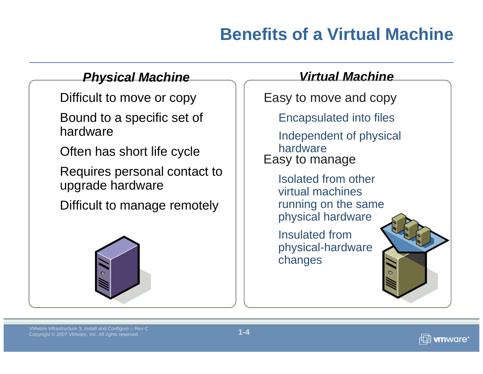# **Benefits of a Virtual Machine**

#### *Physical Machine Virtual Machine*

Difficult to move or copy

Bound to <sup>a</sup> specific set of hardware

Often has short life cycle

Requires personal contact to upgrade hardware

Difficult to manage remotely  $\quad \vert \quad \vert$  runnin



Easy to move and copy

a specific set of | | Encapsulated into files

Independent of physical hardwareEasy to manage

Isolated from other virtual machines running on the same physical hardware

Insulated from physical-hardware c hanges

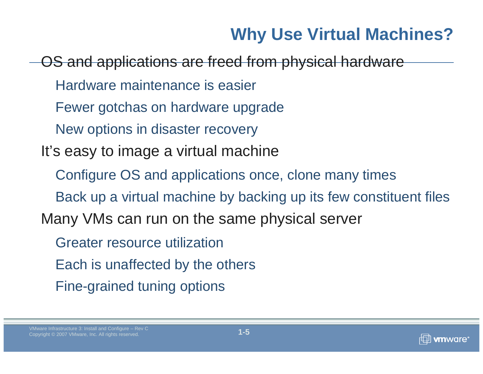# **Why Use Virtual Machines?**

OS and applications are freed from physical hardware Hardware maintenance is easierFewer gotchas on hardware upgrade New options in disaster recovery It's easy to image a virtual machine Configure OS and applications once, clone many times Back up a virtual machine by backing up its few constituent files Many VMs can run on the same physical serve r Greater resource utilizationEach is unaffected by the others Fine-grained tuning options

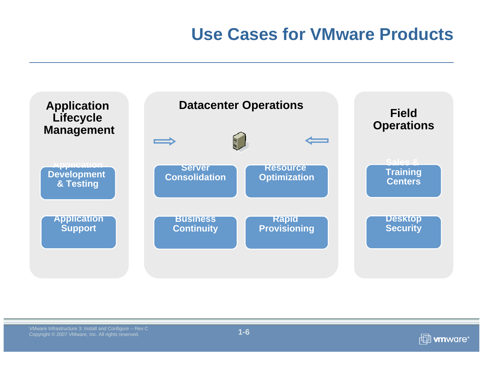### **Use Cases for VMware Products**



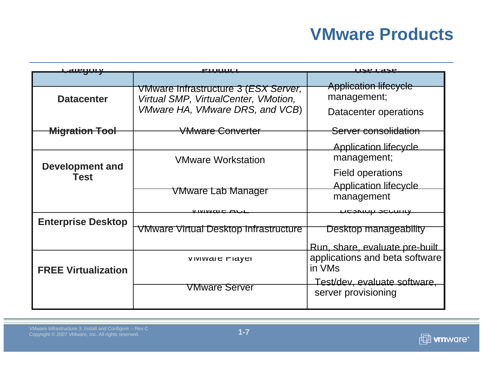### **VMware Products**

| aleuoo                                | -1001101                                                                              | <b>ISE CASE</b>                          |  |
|---------------------------------------|---------------------------------------------------------------------------------------|------------------------------------------|--|
|                                       |                                                                                       | <b>Application lifecycle</b>             |  |
| <b>Datacenter</b>                     | VMware Infrastructure 3 ( <i>ESX Server</i> ,<br>Virtual SMP, VirtualCenter, VMotion, | management;                              |  |
|                                       | VMware HA, VMware DRS, and VCB)                                                       | Datacenter operations                    |  |
| <del>Migration Tool</del>             | <b>VMware Converter</b>                                                               | <del>Server consolidation</del>          |  |
|                                       |                                                                                       | <b>Application lifecycle</b>             |  |
| <b>Development and</b><br><b>Test</b> | <b>VMware Workstation</b>                                                             | management;                              |  |
|                                       |                                                                                       | Field operations                         |  |
|                                       |                                                                                       | <b>Application lifecycle</b>             |  |
|                                       | VMware Lab Manager                                                                    | management                               |  |
|                                       |                                                                                       | <del>nesumh sennim</del>                 |  |
| <b>Enterprise Desktop</b>             |                                                                                       |                                          |  |
|                                       | <b>VMware Virtual Desktop Infrastructure</b>                                          | Desktop manageability                    |  |
|                                       |                                                                                       | Run, share, evaluate pre-built           |  |
| <b>FREE Virtualization</b>            | <b>VIVIWALE FIAYEL</b>                                                                | applications and beta software<br>in VMs |  |
|                                       | VMware Server                                                                         | Test/dev, evaluate software,             |  |
|                                       |                                                                                       | server provisioning                      |  |

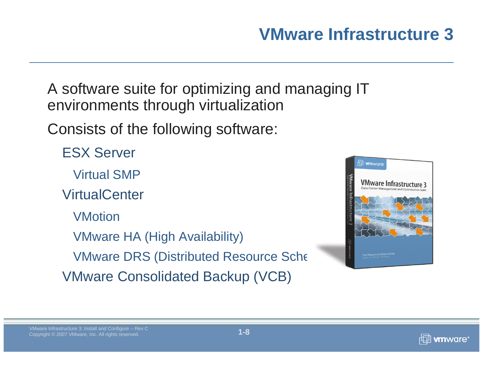A software suite for optimizing and managing IT environments through virtualization

Consists of the following software:

ESX Server

Virtual SMP

**VirtualCenter** 

VMotion

VMware HA (High Availability) **VMware DRS (Distributed Resource Scheduler** VMware Consolidated Backup (VCB)



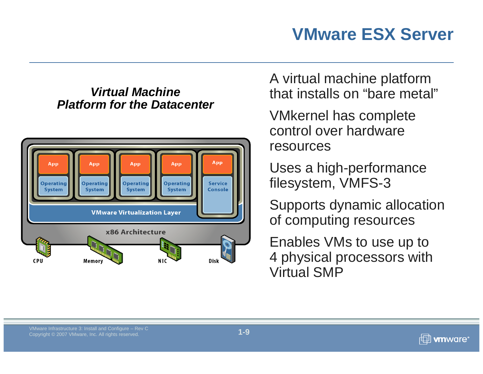# **VMware ESX Server**

#### *Virtual MachinePlatform for the Datacenter*



A virtual machine platform that installs on "bare metal"

VMkernel has complete control over hardware resources

Uses a high-performance filesystem, VMFS-3

Supports dynamic allocation of computing resources

Enables VMs to use up to 4 physical processors with Virtual SMP

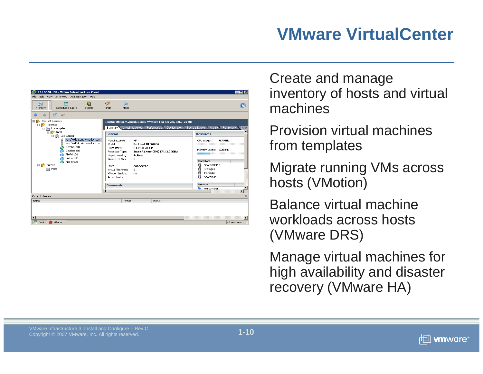#### **VMware VirtualCenter**



Create and manage inventory of hosts and virtual machines

Provision virtual machines from templates

Migrate running VMs across hosts (VMotion)

Balance virtual machine workloads across hosts (VMware DRS)

Manage virtual machines for high availability and disaster recovery (VMware HA)

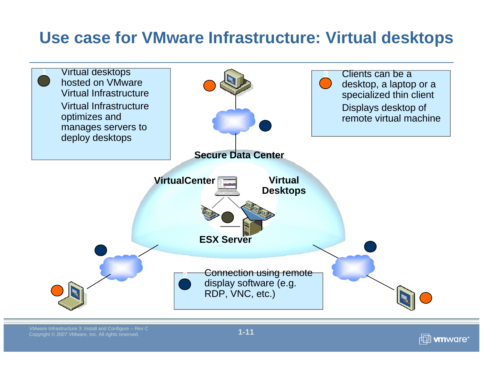#### **Use case for VMware Infrastructure: Virtual desktops**



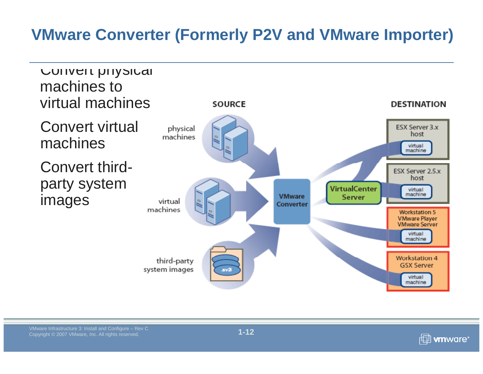#### **VMware Converter (Formerly P2V and VMware Importer)**



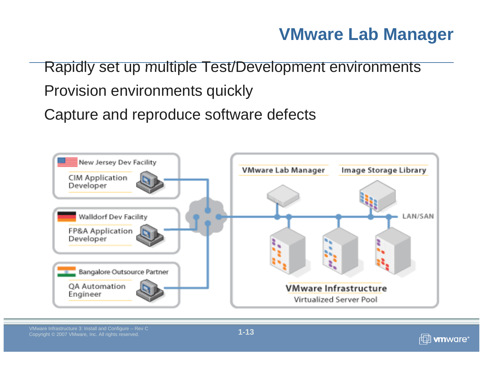#### **VMware Lab Manager**

Rapidly set up multiple Test/Development environments

#### Provision environments quickly

Capture and reproduce software defects



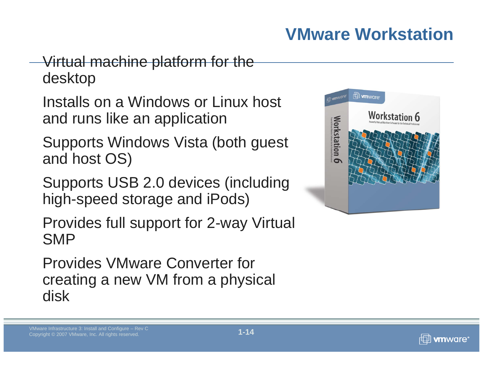# **VMware Workstation**

#### Virtual machine platform for the desktop

Installs on a Windows or Linux host and runs like an application

Supports Windows Vista (both guest and host OS)

Supports USB 2.0 devices (including high-speed storage and iPods)

Provides full support for 2-way Virtual SMP

Provides VMware Converter for creating a new VM from a physical disk





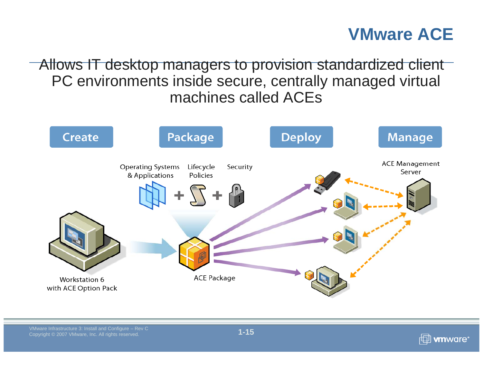#### **VMware ACE**

 $\overline{\phantom{a}}$  Allows IT desktop managers to provision standardized client PC environments inside secure, centrally managed virtual machines called ACEs



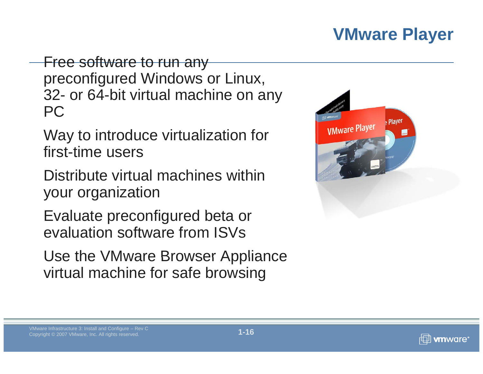#### **VMware Player**

Free software to run any preconfigured Windows or Linux, 32- or 64-bit virtual machine on any PC

Way to introduce virtualization for first-time users

Distribute virtual machines within your organization

Evaluate preconfigured beta or evaluation software from ISVs

Use the VMware Browser Appliance virtual machine for safe browsing



#### VMware Infrastructure 3: Install and Configure – Rev C<br>Copyright © 2007 VMware, Inc. All rights reserved.



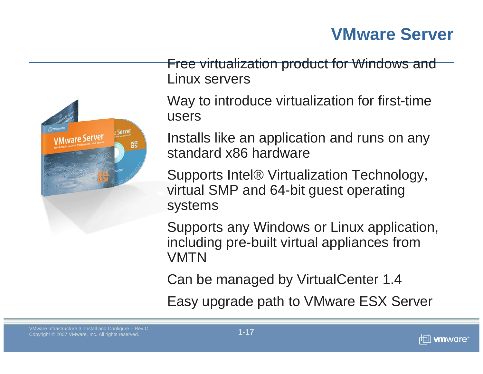#### **VMware Server**



Free virtualization product for Windows and Linux servers

Way to introduce virtualization for first-time users

Installs like an application and runs on any standard x86 hardware

Supports Intel® Virtualization Technology, virtual SMP and 64-bit guest operating systems

Supports any Windows or Linux application, including pre-built virtual appliances from VMTN

Can be managed by VirtualCenter 1.4

Easy upgrade path to VMware ESX Server

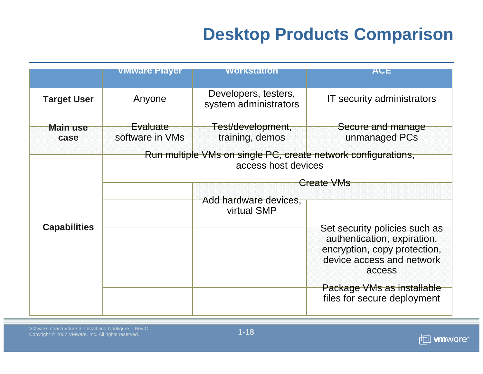# **Desktop Products Comparison**

|                         | <b>Viviware Player</b>             | <b>WOrkstation</b>                                                                                 | ACE                                                                                                |  |
|-------------------------|------------------------------------|----------------------------------------------------------------------------------------------------|----------------------------------------------------------------------------------------------------|--|
| <b>Target User</b>      | Anyone                             | Developers, testers,<br>system administrators                                                      | IT security administrators                                                                         |  |
| <b>Main use</b><br>case | <b>Evaluate</b><br>software in VMs | Test/development,<br>training, demos                                                               | Secure and manage<br>unmanaged PCs                                                                 |  |
|                         |                                    | Run multiple VMs on single PC, create network configurations,<br>access host devices<br>Create VMs |                                                                                                    |  |
| <b>Capabilities</b>     |                                    | Add hardware devices,<br>virtual SMP                                                               | Set security policies such as                                                                      |  |
|                         |                                    |                                                                                                    | authentication, expiration,<br>encryption, copy protection,<br>device access and network<br>access |  |
|                         |                                    |                                                                                                    | Package VMs as installable<br>files for secure deployment                                          |  |

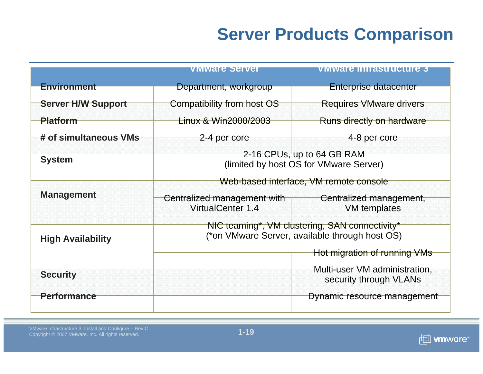## **Server Products Comparison**

|                           | viviware Servel                                                                                                                              | Viviware inifastructure 3                               |  |
|---------------------------|----------------------------------------------------------------------------------------------------------------------------------------------|---------------------------------------------------------|--|
| <b>Environment</b>        | Department, workgroup                                                                                                                        | Enterprise datacenter                                   |  |
| <b>Server H/W Support</b> | Compatibility from host OS                                                                                                                   | <b>Requires VMware drivers</b>                          |  |
| <b>Platform</b>           | Linux & Win2000/2003                                                                                                                         | Runs directly on hardware                               |  |
| # of simultaneous VMs     | 2-4 per core                                                                                                                                 | 4-8 per core                                            |  |
| <b>System</b>             | 2-16 CPUs, up to 64 GB RAM<br>(limited by host OS for VMware Server)                                                                         |                                                         |  |
| <b>Management</b>         | Web-based interface, VM remote console<br>Centralized management with<br>Centralized management,<br>VirtualCenter 1.4<br><b>VM</b> templates |                                                         |  |
| <b>High Availability</b>  | NIC teaming*, VM clustering, SAN connectivity*<br>(*on VMware Server, available through host OS)<br>Hot migration of running VMs             |                                                         |  |
| <b>Security</b>           |                                                                                                                                              | Multi-user VM administration,<br>security through VLANs |  |
| <b>Performance</b>        |                                                                                                                                              | Dynamic resource management                             |  |

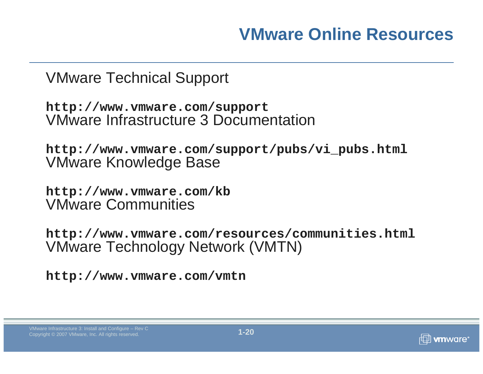#### **VMware Online Resources**

VMware Technical Support

**http://www.vmware.com/support** VMware Infrastructure 3 Documentation

**http://www.vmware.com/support/pubs/vi\_pubs.html** VMware Knowledge Base

**http://www.vmware.com/kb** VMware Communities

**http://www.vmware.com/resources/communities.html** VMware Technology Network (VMTN)

**http://www.vmware.com/vmtn**

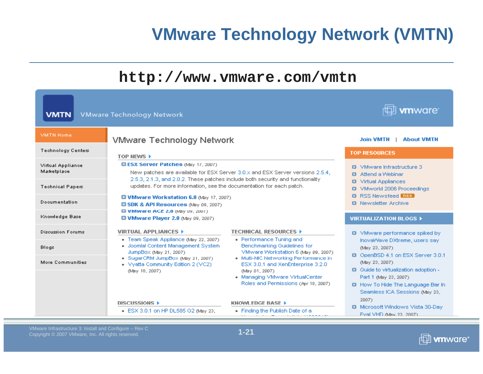### **VMware Technology Network (VMTN)**



| <b>VMTN</b>                      | <b>VMware Technology Network</b>                                                                                                                                                                             |                                                                                                                                                                                                                                                        | mware <sup>.</sup>                                                                                                                                                    |
|----------------------------------|--------------------------------------------------------------------------------------------------------------------------------------------------------------------------------------------------------------|--------------------------------------------------------------------------------------------------------------------------------------------------------------------------------------------------------------------------------------------------------|-----------------------------------------------------------------------------------------------------------------------------------------------------------------------|
| <b>VMTN Home</b>                 | <b>VMware Technology Network</b>                                                                                                                                                                             |                                                                                                                                                                                                                                                        | <b>Join VMTN</b><br><b>About VMTN</b>                                                                                                                                 |
| <b>Technology Centers</b>        | TOP NEWS >                                                                                                                                                                                                   |                                                                                                                                                                                                                                                        | <b>TOP RESOURCES</b>                                                                                                                                                  |
| Virtual Appliance<br>Marketplace | <b>DESX Server Patches (May 17, 2007)</b><br>New patches are available for ESX Server 3.0.x and ESX Server versions 2.5.4.<br>2.5.3, 2.1.3, and 2.0.2. These patches include both security and functionality | VMware Infrastructure 3<br><b>Q</b> Attend a Webinar                                                                                                                                                                                                   |                                                                                                                                                                       |
| <b>Technical Papers</b>          | updates. For more information, see the documentation for each patch.                                                                                                                                         | <b>Virtual Appliances</b><br><b>VMworld 2006 Proceedings</b><br><b>D</b> RSS Newsfeed <b>BSS</b><br><b>Q</b> Newsletter Archive                                                                                                                        |                                                                                                                                                                       |
| Documentation                    | <b>C VMware Workstation 6.0 (May 17, 2007)</b><br><b>C SDK &amp; API Resources (May 09, 2007)</b><br><b>a v Mware ACE 2.0</b> (May U9, 2007)                                                                 |                                                                                                                                                                                                                                                        |                                                                                                                                                                       |
| Knowledge Base                   | <b>D VMware Player 2.0 (May 09, 2007)</b>                                                                                                                                                                    |                                                                                                                                                                                                                                                        | <b>VIRTUALIZATION BLOGS &gt;</b>                                                                                                                                      |
| <b>Discussion Forums</b>         | <b>VIRTUAL APPLIANCES &gt;</b><br>• Team Speak Appliance (May 22, 2007)                                                                                                                                      | <b>TECHNICAL RESOURCES ▶</b><br>• Performance Tuning and                                                                                                                                                                                               | <b>Q</b> VMware performance spiked by<br>InovaWave DXtreme, users say                                                                                                 |
| <b>Blogs</b>                     | • Joomla! Content Management System<br>JumpBox (May 21, 2007).<br>· SugarCRM JumpBox (May 21, 2007)<br>• Vyatta Community Edition 2 (VC2)<br>(May 18, 2007).                                                 | <b>Benchmarking Guidelines for</b><br>VMware Workstation 6 (May 09, 2007).<br>• Multi-NIC Networking Performance in<br>ESX 3.0.1 and XenEnterprise 3.2.0<br>(May 01, 2007)<br>• Managing VMware VirtualCenter<br>Roles and Permissions (Apr 18, 2007). | (May 23, 2007).<br><b>D</b> OpenBSD 4.1 on ESX Server 3.0.1                                                                                                           |
| More Communities                 |                                                                                                                                                                                                              |                                                                                                                                                                                                                                                        | (May 23, 2007).<br><b>Q</b> Guide to virtualization adoption -<br>Part 1 (May 23, 2007)<br><b>D</b> How To Hide The Language Bar In<br>Seamless ICA Sessions (May 23, |
|                                  | DISCUSSIONS ><br>ESX 3.0.1 on HP DL585 G2 (May 23,                                                                                                                                                           | <b>KNOWLEDGE BASE ▶</b><br>• Finding the Publish Date of a                                                                                                                                                                                             | 2007)<br><b>D</b> Microsoft Windows Vista 30-Day<br>Eval VHD (May 23, 2007).                                                                                          |

**1-21**

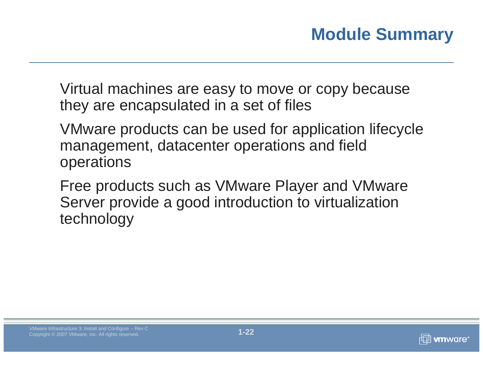Virtual machines are easy to move or copy because they are encapsulated in a set of files

VMware products can be used for application lifecycle management, datacenter operations and field operations

Free products such as VMware Player and VMware Server provide a good introduction to virtualization technology